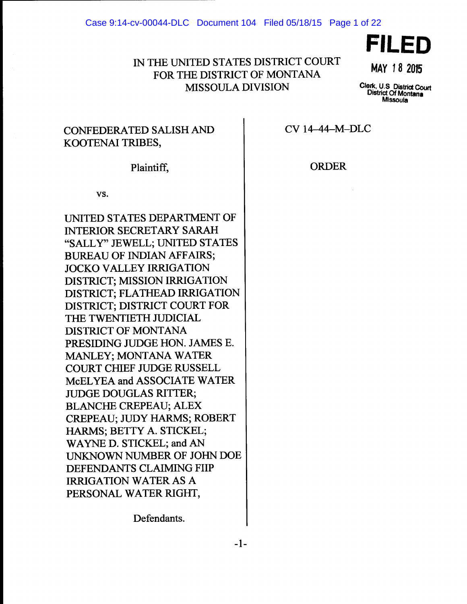#### Case 9:14-cv-00044-DLC Document 104 Filed 05/18/15 Page 1 of 22

# IN THE UNITED STATES DISTRICT COURT FOR THE DISTRICT OF MONTANA MISSOULA DIVISION



**MAY 18 2015** 

Clerk, U.S Distriot Court District Of Montana Missoula

# CONFEDERATED SALISH AND KOOTENAI TRIBES,

Plaintiff,

vs.

UNITED STATES DEPARTMENT OF INTERIOR SECRETARY SARAH "SALLY" JEWELL; UNITED STATES BUREAU OF INDIAN AFFAIRS; JOCKO VALLEY IRRIGATION DISTRICT; MISSION IRRIGATION DISTRICT; FLATHEAD IRRIGATION DISTRICT; DISTRICT COURT FOR THE TWENTIETH JUDICIAL DISTRICT OF MONTANA PRESIDING JUDGE HON. JAMES E. MANLEY; MONTANA WATER COURT CHIEF JUDGE RUSSELL McEL YEA and ASSOCIATE WATER JUDGE DOUGLAS RITTER; BLANCHE CREPEAU; ALEX CREPEAU; JUDY HARMS; ROBERT HARMS; BETTY A. STICKEL; WAYNE D. STICKEL; and AN UNKNOWN NUMBER OF JOHN DOE DEFENDANTS CLAIMING FHP IRRIGATION WATER AS A PERSONAL WATER RIGHT,

CV 14-44-M-DLC

ORDER

Defendants.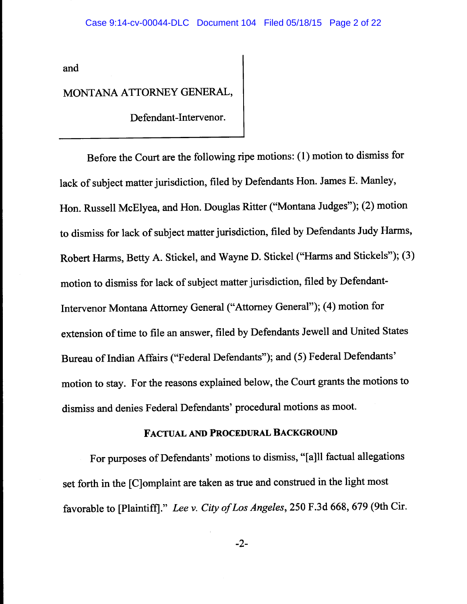and

# MONTANA ATTORNEY GENERAL,

Defendant-Intervenor.

Before the Court are the following ripe motions: (1) motion to dismiss for lack of subject matter jurisdiction, filed by Defendants Hon. James E. Manley, Hon. Russell McElyea, and Hon. Douglas Ritter ("Montana Judges"); (2) motion to dismiss for lack of subject matter jurisdiction, filed by Defendants Judy Harms, Robert Harms, Betty A. Stickel, and Wayne D. Stickel ("Harms and Stickels"); (3) motion to dismiss for lack of subject matter jurisdiction, filed by Defendant-Intervenor Montana Attorney General ("Attorney General"); ( 4) motion for extension of time to file an answer, filed by Defendants Jewell and United States Bureau of Indian Affairs ("Federal Defendants"); and (5) Federal Defendants' motion to stay. For the reasons explained below, the Court grants the motions to dismiss and denies Federal Defendants' procedural motions as moot.

### FACTUAL AND PROCEDURAL BACKGROUND

For purposes of Defendants' motions to dismiss, "[a]ll factual allegations set forth in the [C]omplaint are taken as true and construed in the light most favorable to [Plaintiff]." *Lee v. City of Los Angeles,* 250 F.3d 668, 679 (9th Cir.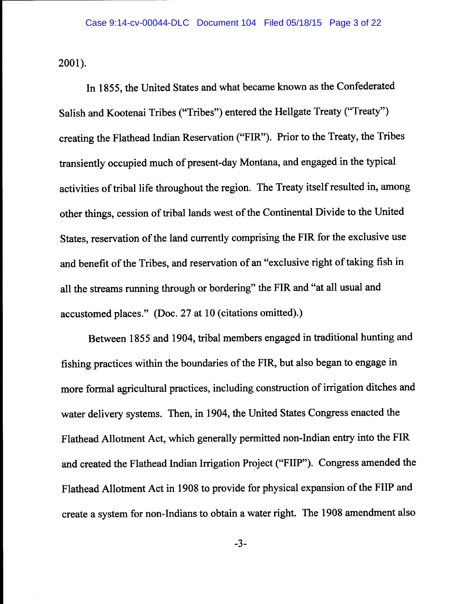2001).

In 1855, the United States and what became known as the Confederated Salish and Kootenai Tribes ("Tribes") entered the Hellgate Treaty ("Treaty") creating the Flathead Indian Reservation ("FIR"). Prior to the Treaty, the Tribes transiently occupied much of present-day Montana, and engaged in the typical activities of tribal life throughout the region. The Treaty itself resulted in, among other things, cession of tribal lands west of the Continental Divide to the United States, reservation of the land currently comprising the FIR for the exclusive use and benefit of the Tribes, and reservation of an "exclusive right of taking fish in all the streams running through or bordering" the FIR and "at all usual and accustomed places." (Doc. 27 at 10 (citations omitted).)

Between 1855 and 1904, tribal members engaged in traditional hunting and fishing practices within the boundaries of the FIR, but also began to engage in more formal agricultural practices, including construction of irrigation ditches and water delivery systems. Then, in 1904, the United States Congress enacted the Flathead Allotment Act, which generally permitted non-Indian entry into the FIR and created the Flathead Indian Irrigation Project ("FHP"). Congress amended the Flathead Allotment Act in 1908 to provide for physical expansion of the FHP and create a system for non-Indians to obtain a water right. The 1908 amendment also

-3-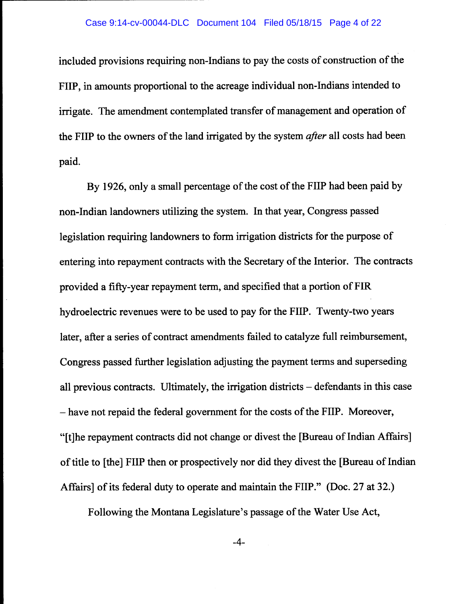### Case 9:14-cv-00044-DLC Document 104 Filed 05/18/15 Page 4 of 22

included provisions requiring non-Indians to pay the costs of construction of the FHP, in amounts proportional to the acreage individual non-Indians intended to irrigate. The amendment contemplated transfer of management and operation of the FHP to the owners of the land irrigated by the system *after* all costs had been paid.

By 1926, only a small percentage of the cost of the FHP had been paid by non-Indian landowners utilizing the system. In that year, Congress passed legislation requiring landowners to form irrigation districts for the purpose of entering into repayment contracts with the Secretary of the Interior. The contracts provided a fifty-year repayment term, and specified that a portion of FIR hydroelectric revenues were to be used to pay for the FHP. Twenty-two years later, after a series of contract amendments failed to catalyze full reimbursement, Congress passed further legislation adjusting the payment terms and superseding all previous contracts. Ultimately, the irrigation districts  $-$  defendants in this case -have not repaid the federal government for the costs of the FHP. Moreover, "[t]he repayment contracts did not change or divest the [Bureau of Indian Affairs] of title to [the] FHP then or prospectively nor did they divest the [Bureau of Indian Affairs] of its federal duty to operate and maintain the FHP." (Doc. 27 at 32.)

Following the Montana Legislature's passage of the Water Use Act,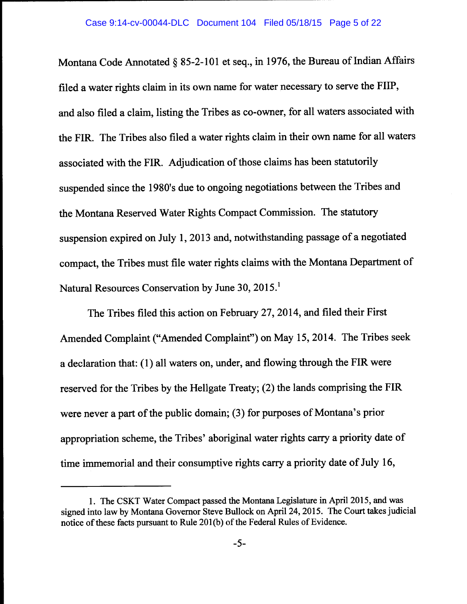Montana Code Annotated§ 85-2-101 et seq., in 1976, the Bureau of Indian Affairs filed a water rights claim in its own name for water necessary to serve the FHP, and also filed a claim, listing the Tribes as co-owner, for all waters associated with the FIR. The Tribes also filed a water rights claim in their own name for all waters associated with the FIR. Adjudication of those claims has been statutorily suspended since the l 980's due to ongoing negotiations between the Tribes and the Montana Reserved Water Rights Compact Commission. The statutory suspension expired on July 1, 2013 and, notwithstanding passage of a negotiated compact, the Tribes must file water rights claims with the Montana Department of Natural Resources Conservation by June 30, 2015.

The Tribes filed this action on February 27, 2014, and filed their First Amended Complaint ("Amended Complaint") on May 15, 2014. The Tribes seek a declaration that: (1) all waters on, under, and flowing through the FIR were reserved for the Tribes by the Hellgate Treaty; (2) the lands comprising the FIR were never a part of the public domain; (3) for purposes of Montana's prior appropriation scheme, the Tribes' aboriginal water rights carry a priority date of time immemorial and their consumptive rights carry a priority date of July 16,

<sup>1.</sup> The CSKT Water Compact passed the Montana Legislature in April 2015, and was signed into law by Montana Governor Steve Bullock on April 24, 2015. The Court takes judicial notice of these facts pursuant to Rule 201(b) of the Federal Rules of Evidence.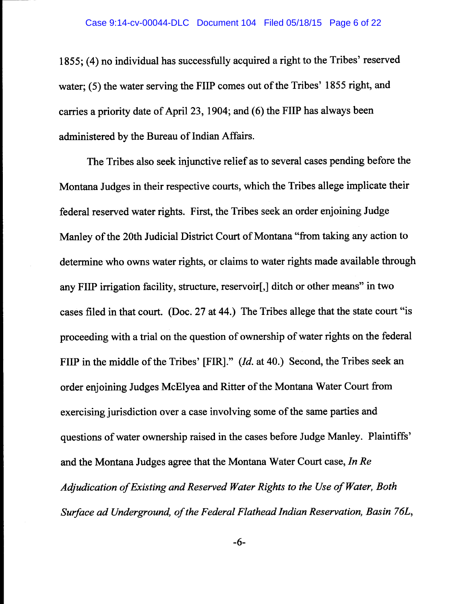1855; (4) no individual has successfully acquired a right to the Tribes' reserved water; (5) the water serving the FHP comes out of the Tribes' 1855 right, and carries a priority date of April 23, 1904; and (6) the FHP has always been administered by the Bureau of Indian Affairs.

The Tribes also seek injunctive relief as to several cases pending before the Montana Judges in their respective courts, which the Tribes allege implicate their federal reserved water rights. First, the Tribes seek an order enjoining Judge Manley of the 20th Judicial District Court of Montana "from taking any action to determine who owns water rights, or claims to water rights made available through any FHP irrigation facility, structure, reservoir[,] ditch or other means" in two cases filed in that court. (Doc. 27 at 44.) The Tribes allege that the state court "is proceeding with a trial on the question of ownership of water rights on the federal FHP in the middle of the Tribes' [FIR]." *(Id.* at 40.) Second, the Tribes seek an order enjoining Judges McElyea and Ritter of the Montana Water Court from exercising jurisdiction over a case involving some of the same parties and questions of water ownership raised in the cases before Judge Manley. Plaintiffs' and the Montana Judges agree that the Montana Water Court case, *In Re Adjudication of Existing and Reserved Water Rights to the Use of Water, Both Surface ad Underground, of the Federal Flathead Indian Reservation, Basin 76L,*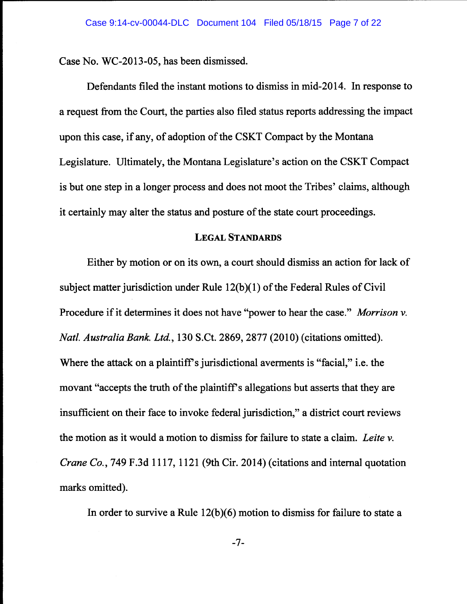Case No. WC-2013-05, has been dismissed.

Defendants filed the instant motions to dismiss in mid-2014. In response to a request from the Court, the parties also filed status reports addressing the impact upon this case, if any, of adoption of the CSKT Compact by the Montana Legislature. Ultimately, the Montana Legislature's action on the CSKT Compact is but one step in a longer process and does not moot the Tribes' claims, although it certainly may alter the status and posture of the state court proceedings.

### LEGAL STANDARDS

Either by motion or on its own, a court should dismiss an action for lack of subject matter jurisdiction under Rule 12(b)(l) of the Federal Rules of Civil Procedure if it determines it does not have "power to hear the case." *Morrison v. Natl. Australia Bank. Ltd.,* 130 S.Ct. 2869, 2877 (2010) (citations omitted). Where the attack on a plaintiff's jurisdictional averments is "facial," i.e. the movant "accepts the truth of the plaintiff's allegations but asserts that they are insufficient on their face to invoke federal jurisdiction," a district court reviews the motion as it would a motion to dismiss for failure to state a claim. *Leite v. Crane Co.,* 749 F.3d 1117, 1121 (9th Cir. 2014) (citations and internal quotation marks omitted).

In order to survive a Rule  $12(b)(6)$  motion to dismiss for failure to state a

-7-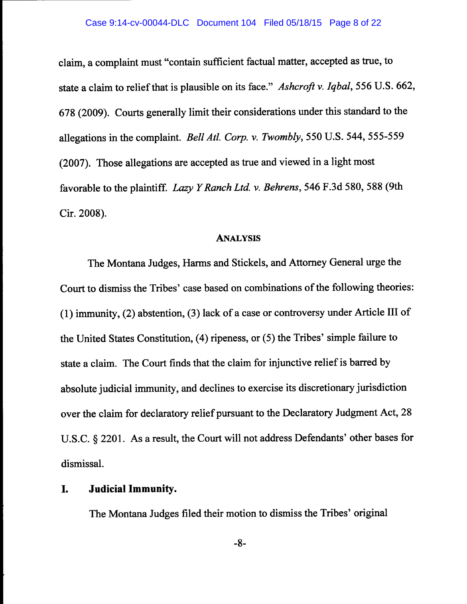claim, a complaint must "contain sufficient factual matter, accepted as true, to state a claim to relief that is plausible on its face." *Ashcroft v. Iqbal,* 556 U.S. 662, 678 (2009). Courts generally limit their considerations under this standard to the allegations in the complaint. *Bell Atl. Corp. v. Twombly,* 550 U.S. 544, 555-559 (2007). Those allegations are accepted as true and viewed in a light most favorable to the plaintiff. *Lazy Y Ranch Ltd. v. Behrens,* 546 F.3d 580, 588 (9th Cir. 2008).

#### ANALYSIS

The Montana Judges, Harms and Stickels, and Attorney General urge the Court to dismiss the Tribes' case based on combinations of the following theories: (1) immunity, (2) abstention, (3) lack of a case or controversy under Article III of the United States Constitution, (4) ripeness, or (5) the Tribes' simple failure to state a claim. The Court finds that the claim for injunctive relief is barred by absolute judicial immunity, and declines to exercise its discretionary jurisdiction over the claim for declaratory relief pursuant to the Declaratory Judgment Act, 28 U.S.C. § 2201. As a result, the Court will not address Defendants' other bases for dismissal.

## I. **Judicial Immunity.**

The Montana Judges filed their motion to dismiss the Tribes' original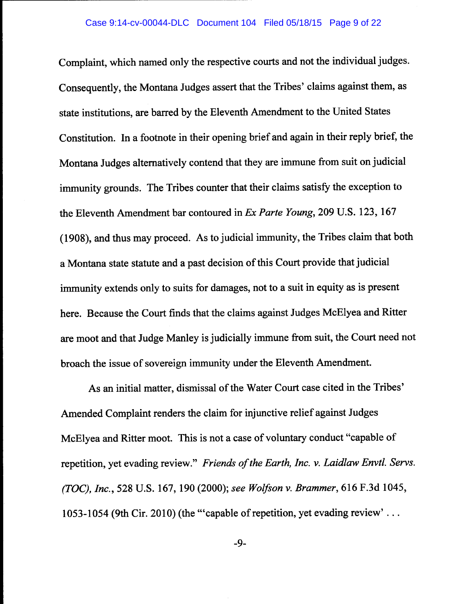Complaint, which named only the respective courts and not the individual judges. Consequently, the Montana Judges assert that the Tribes' claims against them, as state institutions, are barred by the Eleventh Amendment to the United States Constitution. In a footnote in their opening brief and again in their reply brief, the Montana Judges alternatively contend that they are immune from suit on judicial immunity grounds. The Tribes counter that their claims satisfy the exception to the Eleventh Amendment bar contoured in *Ex Parle Young,* 209 U.S. 123, 167 (1908), and thus may proceed. As to judicial immunity, the Tribes claim that both a Montana state statute and a past decision of this Court provide that judicial immunity extends only to suits for damages, not to a suit in equity as is present here. Because the Court finds that the claims against Judges McElyea and Ritter are moot and that Judge Manley is judicially immune from suit, the Court need not broach the issue of sovereign immunity under the Eleventh Amendment.

As an initial matter, dismissal of the Water Court case cited in the Tribes' Amended Complaint renders the claim for injunctive relief against Judges McElyea and Ritter moot. This is not a case of voluntary conduct "capable of repetition, yet evading review." *Friends of the Earth, Inc. v. Laidlaw Envtl. Servs. (TDC), Inc.,* 528 U.S. 167, 190 (2000); *see Wolfson v. Brammer,* 616 F.3d 1045, 1053-1054 (9th Cir. 2010) (the "'capable of repetition, yet evading review' ...

-9-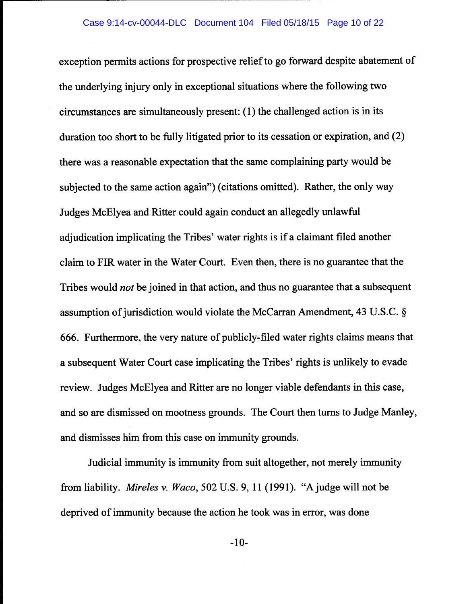exception permits actions for prospective relief to go forward despite abatement of the underlying injury only in exceptional situations where the following two circumstances are simultaneously present: ( 1) the challenged action is in its duration too short to be fully litigated prior to its cessation or expiration, and (2) there was a reasonable expectation that the same complaining party would be subjected to the same action again") (citations omitted). Rather, the only way Judges McElyea and Ritter could again conduct an allegedly unlawful adjudication implicating the Tribes' water rights is if a claimant filed another claim to FIR water in the Water Court. Even then, there is no guarantee that the Tribes would *not* be joined in that action, and thus no guarantee that a subsequent assumption of jurisdiction would violate the McCarran Amendment, 43 U.S.C. § 666. Furthermore, the very nature of publicly-filed water rights claims means that a subsequent Water Court case implicating the Tribes' rights is unlikely to evade review. Judges McElyea and Ritter are no longer viable defendants in this case, and so are dismissed on mootness grounds. The Court then turns to Judge Manley, and dismisses him from this case on immunity grounds.

Judicial immunity is immunity from suit altogether, not merely immunity from liability. *Mireles v. Waco,* 502 U.S. 9, 11 (1991). "Ajudge will not be deprived of immunity because the action he took was in error, was done

-10-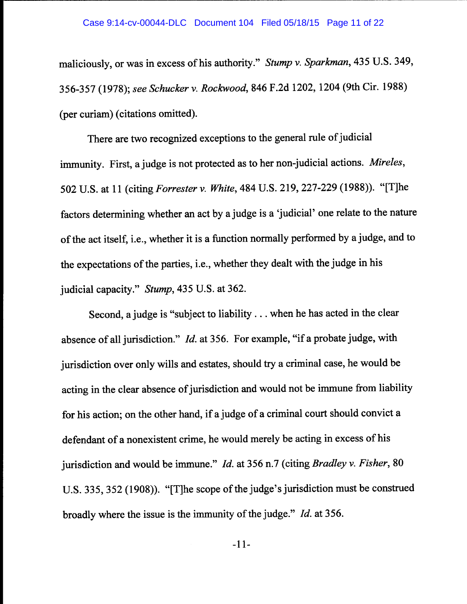maliciously, or was in excess of his authority." *Stump* v. *Sparkman,* 435 U.S. 349, 356-357 (1978); *see Schucker* v. *Rockwood,* 846 F.2d 1202, 1204 (9th Cir. 1988) (per curiam) (citations omitted).

There are two recognized exceptions to the general rule of judicial immunity. First, a judge is not protected as to her non-judicial actions. *Mireles,*  502 U.S. at 11 (citing *Forrester* v. *White,* 484 U.S. 219, 227-229 (1988)). "[T]he factors determining whether an act by a judge is a 'judicial' one relate to the nature of the act itself, i.e., whether it is a function normally performed by a judge, and to the expectations of the parties, i.e., whether they dealt with the judge in his judicial capacity." *Stump,* 435 U.S. at 362.

Second, a judge is "subject to liability ... when he has acted in the clear absence of all jurisdiction." *Id.* at 356. For example, "if a probate judge, with jurisdiction over only wills and estates, should try a criminal case, he would be acting in the clear absence of jurisdiction and would not be immune from liability for his action; on the other hand, if a judge of a criminal court should convict a defendant of a nonexistent crime, he would merely be acting in excess of his jurisdiction and would be immune." *Id.* at 356 n. 7 (citing *Bradley* v. *Fisher,* <sup>80</sup> U.S. 335, 352 (1908)). "[T]he scope of the judge's jurisdiction must be construed broadly where the issue is the immunity of the judge." *Id.* at 356.

-11-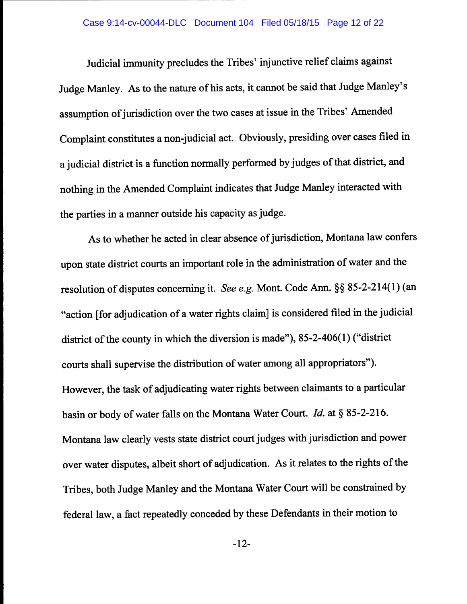### Case 9:14-cv-00044-DLC Document 104 Filed 05/18/15 Page 12 of 22

Judicial immunity precludes the Tribes' injunctive relief claims against Judge Manley. As to the nature of his acts, it cannot be said that Judge Manley's assumption of jurisdiction over the two cases at issue in the Tribes' Amended Complaint constitutes a non-judicial act. Obviously, presiding over cases filed in a judicial district is a function normally performed by judges of that district, and nothing in the Amended Complaint indicates that Judge Manley interacted with the parties in a manner outside his capacity as judge.

As to whether he acted in clear absence of jurisdiction, Montana law confers upon state district courts an important role in the administration of water and the resolution of disputes concerning it. *See e.g.* Mont. Code Ann.§§ 85-2-214(1) (an "action [for adjudication of a water rights claim] is considered filed in the judicial district of the county in which the diversion is made"), 85-2-406(1) ("district courts shall supervise the distribution of water among all appropriators"). However, the task of adjudicating water rights between claimants to a particular basin or body of water falls on the Montana Water Court. *Id.* at§ 85-2-216. Montana law clearly vests state district court judges with jurisdiction and power over water disputes, albeit short of adjudication. As it relates to the rights of the Tribes, both Judge Manley and the Montana Water Court will be constrained by federal law, a fact repeatedly conceded by these Defendants in their motion to

-12-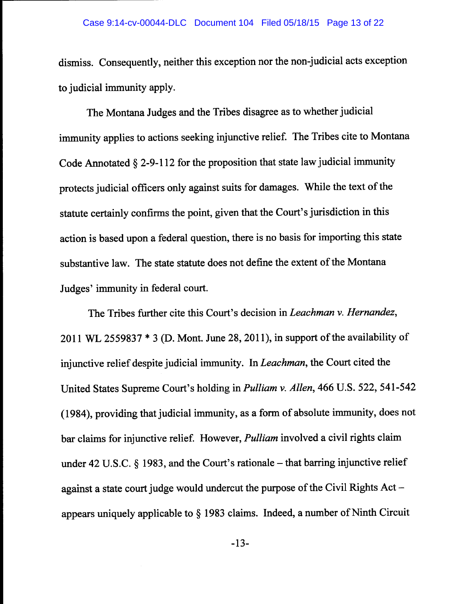dismiss. Consequently, neither this exception nor the non-judicial acts exception to judicial immunity apply.

The Montana Judges and the Tribes disagree as to whether judicial immunity applies to actions seeking injunctive relief. The Tribes cite to Montana Code Annotated  $\S$  2-9-112 for the proposition that state law judicial immunity protects judicial officers only against suits for damages. While the text of the statute certainly confirms the point, given that the Court's jurisdiction in this action is based upon a federal question, there is no basis for importing this state substantive law. The state statute does not define the extent of the Montana Judges' immunity in federal court.

The Tribes further cite this Court's decision in *Leachman v. Hernandez,*  2011 WL 2559837 \* 3 (D. Mont. June 28, 2011), in support of the availability of injunctive relief despite judicial immunity. In *Leachman,* the Court cited the United States Supreme Court's holding in *Pulliam v. Allen,* 466 U.S. 522, 541-542 (1984), providing that judicial immunity, as a form of absolute immunity, does not bar claims for injunctive relief. However, *Pulliam* involved a civil rights claim under 42 U.S.C.  $\S$  1983, and the Court's rationale – that barring injunctive relief against a state court judge would undercut the purpose of the Civil Rights Actappears uniquely applicable to § 1983 claims. Indeed, a number of Ninth Circuit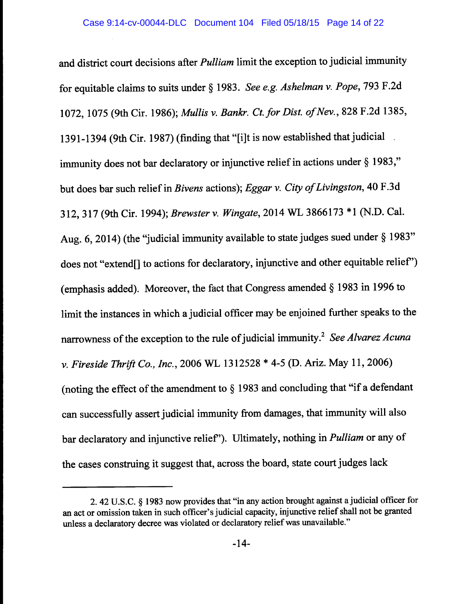and district court decisions after *Pulliam* limit the exception to judicial immunity for equitable claims to suits under§ 1983. *See e.g. Ashe/man v. Pope,* 793 F.2d 1072, 1075 (9th Cir. 1986); *Mullis v. Bankr. Ct.for Dist. of Nev.,* 828 F.2d 1385, 1391-1394 (9th Cir. 1987) (finding that "[i]t is now established that judicial . immunity does not bar declaratory or injunctive relief in actions under § 1983," but does bar such relief in *Bivens* actions); *Eggar v. City of Livingston,* 40 F .3d 312, 317 (9th Cir. 1994); *Brewster v. Wingate,* 2014 WL 3866173 \*1 (N.D. Cal. Aug. 6, 2014) (the "judicial immunity available to state judges sued under§ 1983" does not "extend[] to actions for declaratory, injunctive and other equitable relief') (emphasis added). Moreover, the fact that Congress amended§ 1983 in 1996 to limit the instances in which a judicial officer may be enjoined further speaks to the narrowness of the exception to the rule of judicial immunity. <sup>2</sup>*See Alvarez Acuna v. Fireside Thrift Co., Inc.,* 2006 WL 1312528 \* 4-5 (D. Ariz. May 11, 2006) (noting the effect of the amendment to  $\S$  1983 and concluding that "if a defendant can successfully assert judicial immunity from damages, that immunity will also bar declaratory and injunctive relief'). Ultimately, nothing in *Pulliam* or any of the cases construing it suggest that, across the board, state court judges lack

<sup>2. 42</sup> U.S.C. § 1983 now provides that "in any action brought against a judicial officer for an act or omission taken in such officer's judicial capacity, injunctive relief shall not be granted unless a declaratory decree was violated or declaratory relief was unavailable."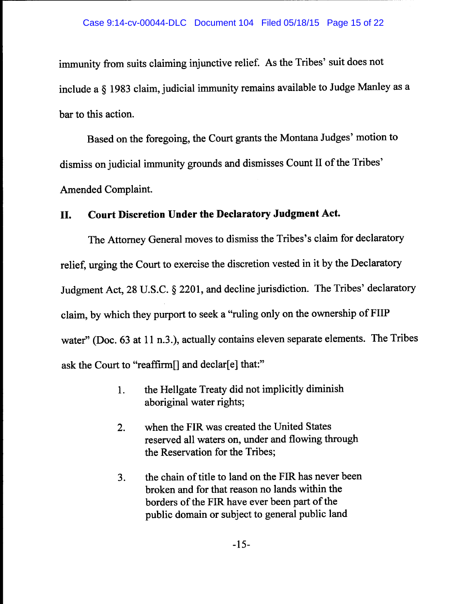immunity from suits claiming injunctive relief. As the Tribes' suit does not include a § 1983 claim, judicial immunity remains available to Judge Manley as a bar to this action.

Based on the foregoing, the Court grants the Montana Judges' motion to dismiss on judicial immunity grounds and dismisses Count II of the Tribes' Amended Complaint.

# **II. Court Discretion Under the Declaratory Judgment Act.**

The Attorney General moves to dismiss the Tribes's claim for declaratory relief, urging the Court to exercise the discretion vested in it by the Declaratory Judgment Act, 28 U.S.C. § 2201, and decline jurisdiction. The Tribes' declaratory claim, by which they purport to seek a "ruling only on the ownership of FIIP water" (Doc. 63 at 11 n.3.), actually contains eleven separate elements. The Tribes ask the Court to "reaffirm<sup>[]</sup> and declar<sup>[e]</sup> that:"

- 1. the Hellgate Treaty did not implicitly diminish aboriginal water rights;
- 2. when the FIR was created the United States reserved all waters on, under and flowing through the Reservation for the Tribes;
- 3. the chain of title to land on the FIR has never been broken and for that reason no lands within the borders of the FIR have ever been part of the public domain or subject to general public land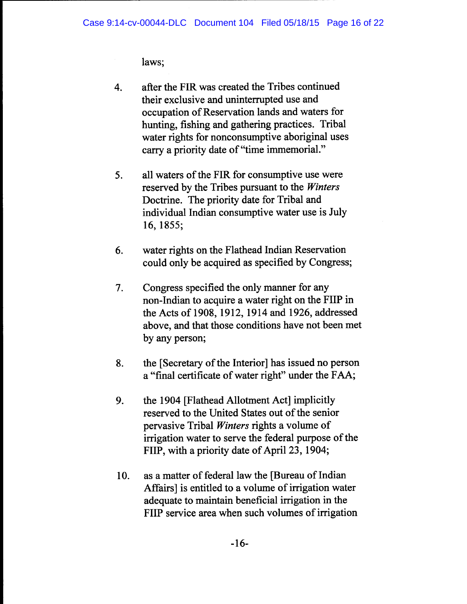laws;

- 4. after the FIR was created the Tribes continued their exclusive and uninterrupted use and occupation of Reservation lands and waters for hunting, fishing and gathering practices. Tribal water rights for nonconsumptive aboriginal uses carry a priority date of "time immemorial."
- 5. all waters of the FIR for consumptive use were reserved by the Tribes pursuant to the *Winters*  Doctrine. The priority date for Tribal and individual Indian consumptive water use is July 16, 1855;
- 6. water rights on the Flathead Indian Reservation could only be acquired as specified by Congress;
- 7. Congress specified the only manner for any non-Indian to acquire a water right on the FHP in the Acts of 1908, 1912, 1914 and 1926, addressed above, and that those conditions have not been met by any person;
- 8. the [Secretary of the Interior] has issued no person a "final certificate of water right" under the FAA;
- 9. the 1904 [Flathead Allotment Act] implicitly reserved to the United States out of the senior pervasive Tribal *Winters* rights a volume of irrigation water to serve the federal purpose of the FHP, with a priority date of April 23, 1904;
- 10. as a matter of federal law the [Bureau of Indian Affairs] is entitled to a volume of irrigation water adequate to maintain beneficial irrigation in the FHP service area when such volumes of irrigation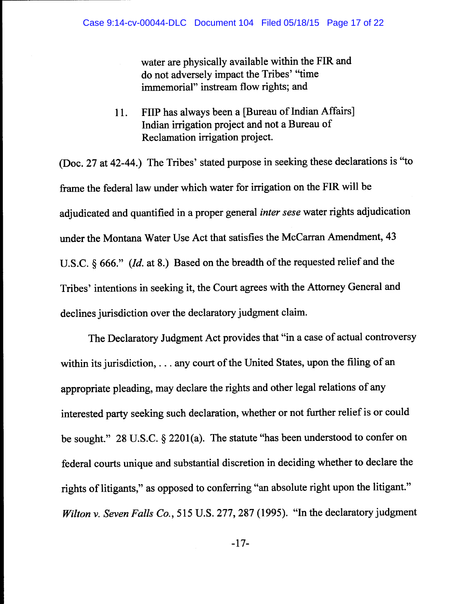water are physically available within the FIR and do not adversely impact the Tribes' "time immemorial" instream flow rights; and

11. FHP has always been a [Bureau of Indian Affairs] Indian irrigation project and not a Bureau of Reclamation irrigation project.

(Doc. 27 at 42-44.) The Tribes' stated purpose in seeking these declarations is "to frame the federal law under which water for irrigation on the FIR will be adjudicated and quantified in a proper general *inter sese* water rights adjudication under the Montana Water Use Act that satisfies the McCarran Amendment, 43 U.S.C. § 666." *(Id. at 8.)* Based on the breadth of the requested relief and the Tribes' intentions in seeking it, the Court agrees with the Attorney General and declines jurisdiction over the declaratory judgment claim.

The Declaratory Judgment Act provides that "in a case of actual controversy within its jurisdiction, ... any court of the United States, upon the filing of an appropriate pleading, may declare the rights and other legal relations of any interested party seeking such declaration, whether or not further relief is or could be sought." 28 U.S.C. § 2201(a). The statute "has been understood to confer on federal courts unique and substantial discretion in deciding whether to declare the rights of litigants," as opposed to conferring "an absolute right upon the litigant." *Wilton v. Seven Falls Co.,* 515 U.S. 277, 287 (1995). "In the declaratory judgment

-17-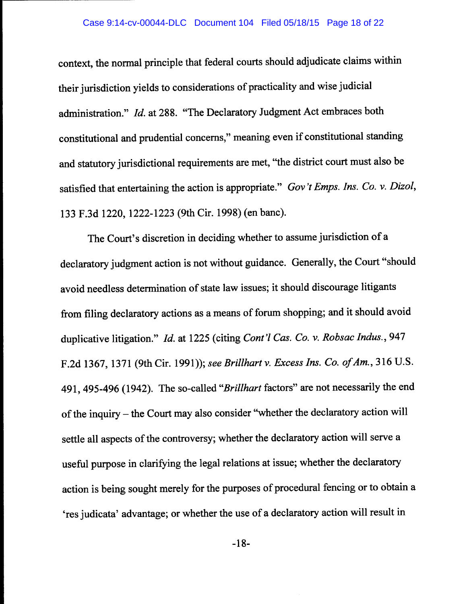context, the normal principle that federal courts should adjudicate claims within their jurisdiction yields to considerations of practicality and wise judicial administration." *Id.* at 288. "The Declaratory Judgment Act embraces both constitutional and prudential concerns," meaning even if constitutional standing and statutory jurisdictional requirements are met, "the district court must also be satisfied that entertaining the action is appropriate." *Gov 't Emps. Ins. Co.* v. *Dizol,*  133 F.3d 1220, 1222-1223 (9th Cir. 1998) (en bane).

The Court's discretion in deciding whether to assume jurisdiction of <sup>a</sup> declaratory judgment action is not without guidance. Generally, the Court "should avoid needless determination of state law issues; it should discourage litigants from filing declaratory actions as a means of forum shopping; and it should avoid duplicative litigation." *Id.* at 1225 (citing *Cont'/ Cas. Co.* v. *Robsac Indus.,* <sup>947</sup> F.2d 1367, 1371 (9th Cir. 1991)); *see Brillhart* v. *Excess Ins. Co. of Am.,* 316 U.S. 491, 495-496 (1942). The so-called *"Brillhart* factors" are not necessarily the end of the inquiry - the Court may also consider "whether the declaratory action will settle all aspects of the controversy; whether the declaratory action will serve a useful purpose in clarifying the legal relations at issue; whether the declaratory action is being sought merely for the purposes of procedural fencing or to obtain a 'res judicata' advantage; or whether the use of a declaratory action will result in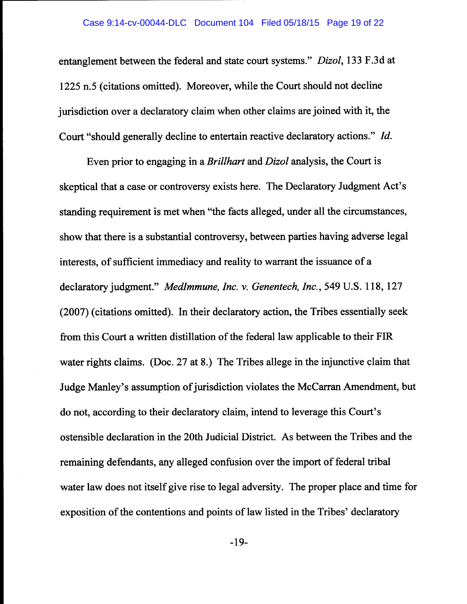entanglement between the federal and state court systems." *Dizol,* 133 F.3d at 1225 n.5 (citations omitted). Moreover, while the Court should not decline jurisdiction over a declaratory claim when other claims are joined with it, the Court "should generally decline to entertain reactive declaratory actions." *Id.* 

Even prior to engaging in a *Brillhart* and *Dizol* analysis, the Court is skeptical that a case or controversy exists here. The Declaratory Judgment Act's standing requirement is met when "the facts alleged, under all the circumstances, show that there is a substantial controversy, between parties having adverse legal interests, of sufficient immediacy and reality to warrant the issuance of <sup>a</sup> declaratory judgment." *Medimmune, Inc. v. Genentech, Inc.,* 549 U.S. 118, 127 (2007) (citations omitted). In their declaratory action, the Tribes essentially seek from this Court a written distillation of the federal law applicable to their FIR water rights claims. (Doc. 27 at 8.) The Tribes allege in the injunctive claim that Judge Manley's assumption of jurisdiction violates the McCarran Amendment, but do not, according to their declaratory claim, intend to leverage this Court's ostensible declaration in the 20th Judicial District. As between the Tribes and the remaining defendants, any alleged confusion over the import of federal tribal water law does not itself give rise to legal adversity. The proper place and time for exposition of the contentions and points of law listed in the Tribes' declaratory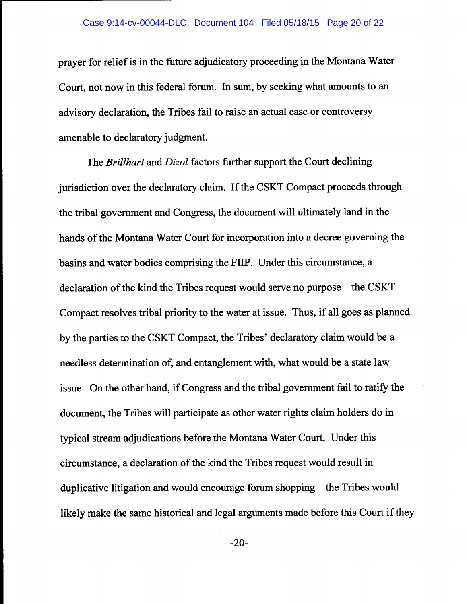prayer for relief is in the future adjudicatory proceeding in the Montana Water Court, not now in this federal forum. In sum, by seeking what amounts to an advisory declaration, the Tribes fail to raise an actual case or controversy amenable to declaratory judgment.

The *Brillhart* and *Dizol* factors further support the Court declining jurisdiction over the declaratory claim. If the CSKT Compact proceeds through the tribal government and Congress, the document will ultimately land in the hands of the Montana Water Court for incorporation into a decree governing the basins and water bodies comprising the FHP. Under this circumstance, a declaration of the kind the Tribes request would serve no purpose  $-$  the CSKT Compact resolves tribal priority to the water at issue. Thus, if all goes as planned by the parties to the CSKT Compact, the Tribes' declaratory claim would be a needless determination of, and entanglement with, what would be a state law issue. On the other hand, if Congress and the tribal government fail to ratify the document, the Tribes will participate as other water rights claim holders do in typical stream adjudications before the Montana Water Court. Under this circumstance, a declaration of the kind the Tribes request would result in duplicative litigation and would encourage forum shopping – the Tribes would likely make the same historical and legal arguments made before this Court if they

-20-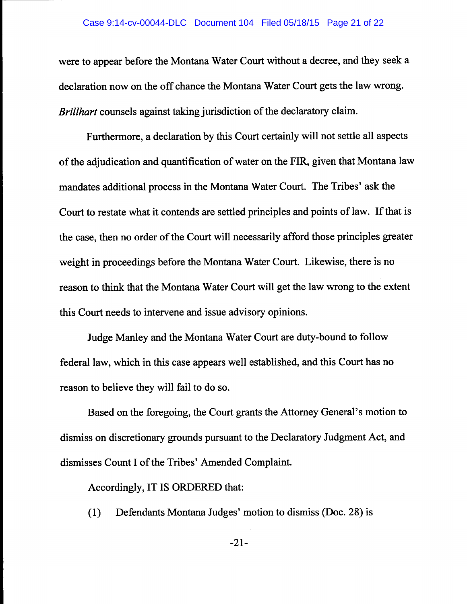### Case 9:14-cv-00044-DLC Document 104 Filed 05/18/15 Page 21 of 22

were to appear before the Montana Water Court without a decree, and they seek a declaration now on the off chance the Montana Water Court gets the law wrong. *Brillhart* counsels against taking jurisdiction of the declaratory claim.

Furthermore, a declaration by this Court certainly will not settle all aspects of the adjudication and quantification of water on the FIR, given that Montana law mandates additional process in the Montana Water Court. The Tribes' ask the Court to restate what it contends are settled principles and points of law. If that is the case, then no order of the Court will necessarily afford those principles greater weight in proceedings before the Montana Water Court. Likewise, there is no reason to think that the Montana Water Court will get the law wrong to the extent this Court needs to intervene and issue advisory opinions.

Judge Manley and the Montana Water Court are duty-bound to follow federal law, which in this case appears well established, and this Court has no reason to believe they will fail to do so.

Based on the foregoing, the Court grants the Attorney General's motion to dismiss on discretionary grounds pursuant to the Declaratory Judgment Act, and dismisses Count I of the Tribes' Amended Complaint.

Accordingly, IT IS ORDERED that:

( 1) Defendants Montana Judges' motion to dismiss (Doc. 28) is